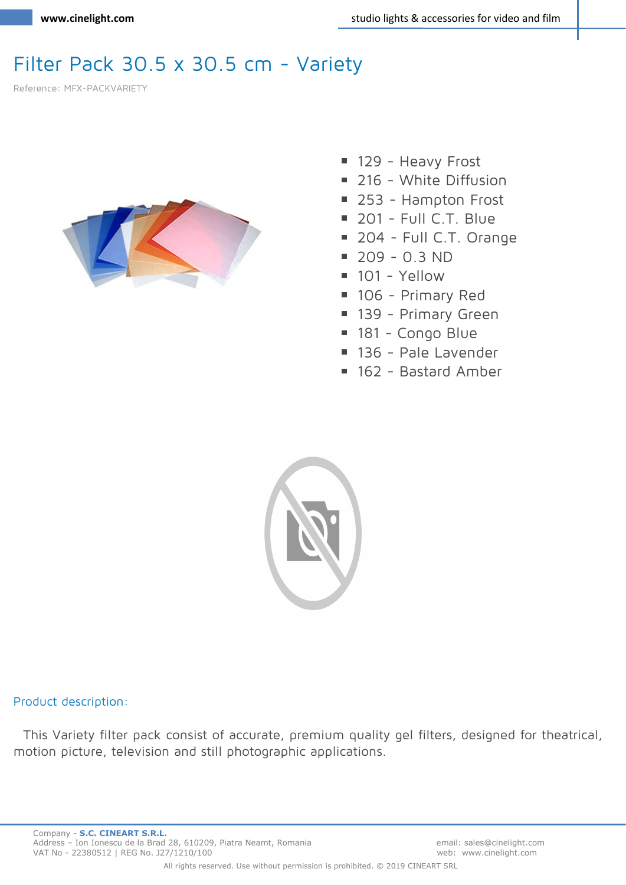## Filter Pack 30.5 x 30.5 cm - Variety

Reference: MFX-PACKVARIETY



- 129 Heavy Frost
- 216 White Diffusion
- 253 Hampton Frost
- 201 Full C.T. Blue
- 204 Full C.T. Orange
- $\blacksquare$  209 0.3 ND
- $101 Y$ ellow
- 106 Primary Red
- 139 Primary Green
- 181 Congo Blue
- 136 Pale Lavender
- 162 Bastard Amber



## **Product description:**

This Variety filter pack consist of accurate, premium quality gel filters, designed for theatrical, motion picture, television and still photographic applications.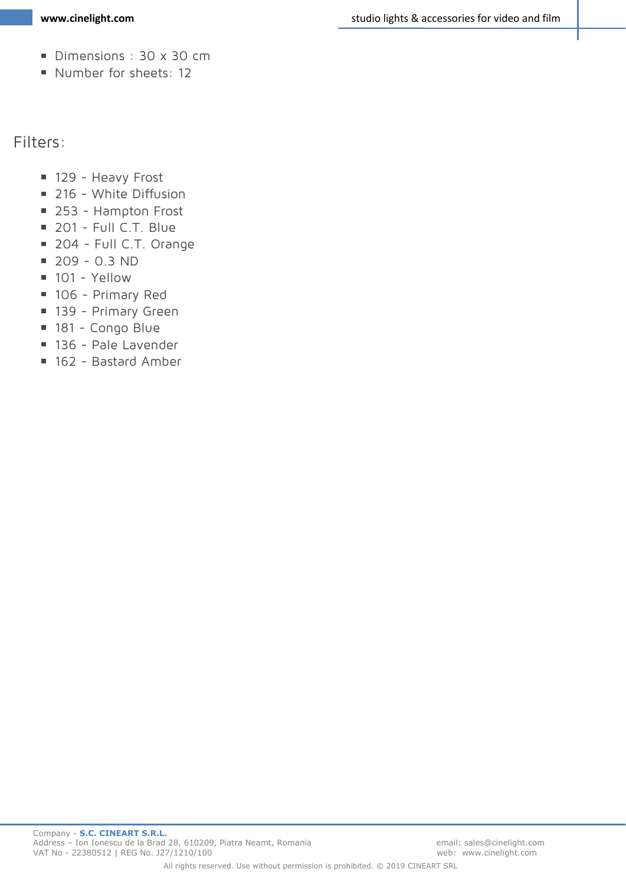- Dimensions: 30 x 30 cm
- Number for sheets: 12

**Filters:**

- 129 Heavy Frost
- 216 White Diffusion
- 253 Hampton Frost
- 201 Full C.T. Blue
- 204 Full C.T. Orange
- $1209 0.3 \text{ ND}$
- $101 -$  Yellow
- 106 Primary Red
- 139 Primary Green
- 181 Congo Blue
- 136 Pale Lavender
- 162 Bastard Amber